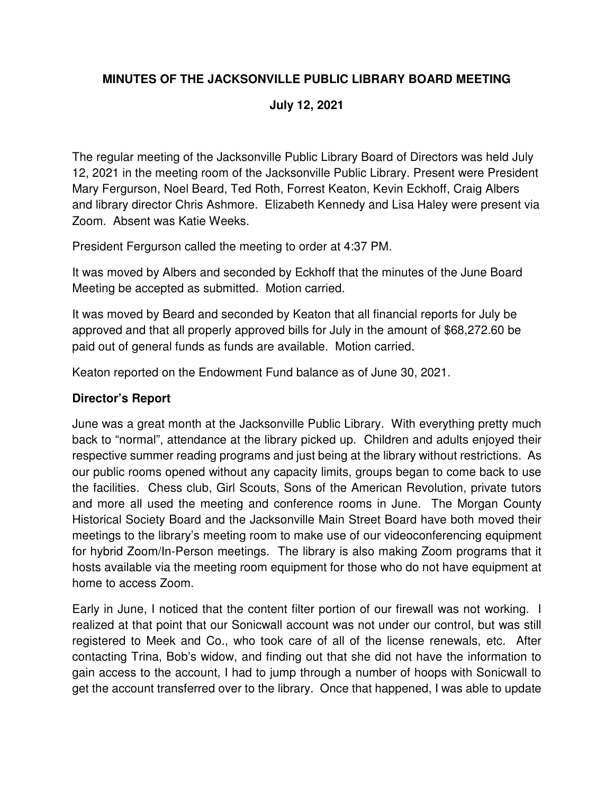# **MINUTES OF THE JACKSONVILLE PUBLIC LIBRARY BOARD MEETING**

### **July 12, 2021**

The regular meeting of the Jacksonville Public Library Board of Directors was held July 12, 2021 in the meeting room of the Jacksonville Public Library. Present were President Mary Fergurson, Noel Beard, Ted Roth, Forrest Keaton, Kevin Eckhoff, Craig Albers and library director Chris Ashmore. Elizabeth Kennedy and Lisa Haley were present via Zoom. Absent was Katie Weeks.

President Fergurson called the meeting to order at 4:37 PM.

It was moved by Albers and seconded by Eckhoff that the minutes of the June Board Meeting be accepted as submitted. Motion carried.

It was moved by Beard and seconded by Keaton that all financial reports for July be approved and that all properly approved bills for July in the amount of \$68,272.60 be paid out of general funds as funds are available. Motion carried.

Keaton reported on the Endowment Fund balance as of June 30, 2021.

#### **Director's Report**

June was a great month at the Jacksonville Public Library. With everything pretty much back to "normal", attendance at the library picked up. Children and adults enjoyed their respective summer reading programs and just being at the library without restrictions. As our public rooms opened without any capacity limits, groups began to come back to use the facilities. Chess club, Girl Scouts, Sons of the American Revolution, private tutors and more all used the meeting and conference rooms in June. The Morgan County Historical Society Board and the Jacksonville Main Street Board have both moved their meetings to the library's meeting room to make use of our videoconferencing equipment for hybrid Zoom/In-Person meetings. The library is also making Zoom programs that it hosts available via the meeting room equipment for those who do not have equipment at home to access Zoom.

Early in June, I noticed that the content filter portion of our firewall was not working. I realized at that point that our Sonicwall account was not under our control, but was still registered to Meek and Co., who took care of all of the license renewals, etc. After contacting Trina, Bob's widow, and finding out that she did not have the information to gain access to the account, I had to jump through a number of hoops with Sonicwall to get the account transferred over to the library. Once that happened, I was able to update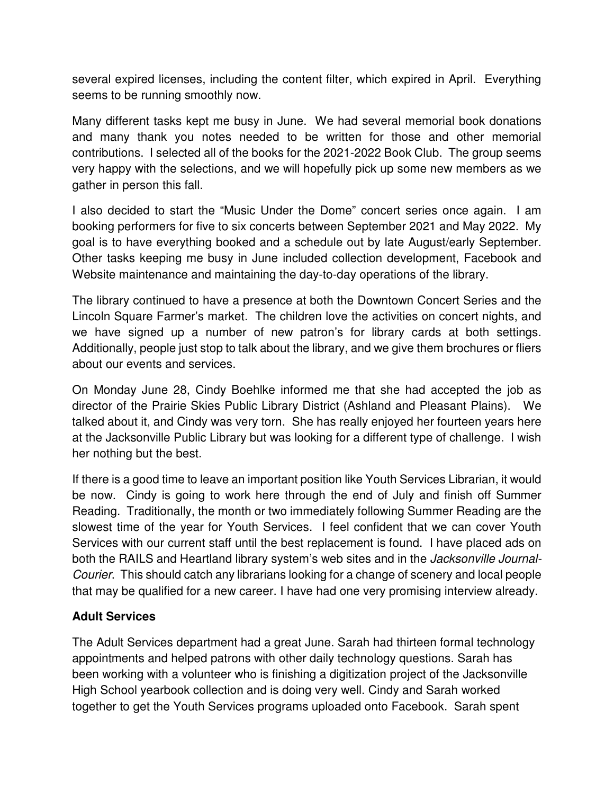several expired licenses, including the content filter, which expired in April. Everything seems to be running smoothly now.

Many different tasks kept me busy in June. We had several memorial book donations and many thank you notes needed to be written for those and other memorial contributions. I selected all of the books for the 2021-2022 Book Club. The group seems very happy with the selections, and we will hopefully pick up some new members as we gather in person this fall.

I also decided to start the "Music Under the Dome" concert series once again. I am booking performers for five to six concerts between September 2021 and May 2022. My goal is to have everything booked and a schedule out by late August/early September. Other tasks keeping me busy in June included collection development, Facebook and Website maintenance and maintaining the day-to-day operations of the library.

The library continued to have a presence at both the Downtown Concert Series and the Lincoln Square Farmer's market. The children love the activities on concert nights, and we have signed up a number of new patron's for library cards at both settings. Additionally, people just stop to talk about the library, and we give them brochures or fliers about our events and services.

On Monday June 28, Cindy Boehlke informed me that she had accepted the job as director of the Prairie Skies Public Library District (Ashland and Pleasant Plains). We talked about it, and Cindy was very torn. She has really enjoyed her fourteen years here at the Jacksonville Public Library but was looking for a different type of challenge. I wish her nothing but the best.

If there is a good time to leave an important position like Youth Services Librarian, it would be now. Cindy is going to work here through the end of July and finish off Summer Reading. Traditionally, the month or two immediately following Summer Reading are the slowest time of the year for Youth Services. I feel confident that we can cover Youth Services with our current staff until the best replacement is found. I have placed ads on both the RAILS and Heartland library system's web sites and in the Jacksonville Journal-Courier. This should catch any librarians looking for a change of scenery and local people that may be qualified for a new career. I have had one very promising interview already.

### **Adult Services**

The Adult Services department had a great June. Sarah had thirteen formal technology appointments and helped patrons with other daily technology questions. Sarah has been working with a volunteer who is finishing a digitization project of the Jacksonville High School yearbook collection and is doing very well. Cindy and Sarah worked together to get the Youth Services programs uploaded onto Facebook. Sarah spent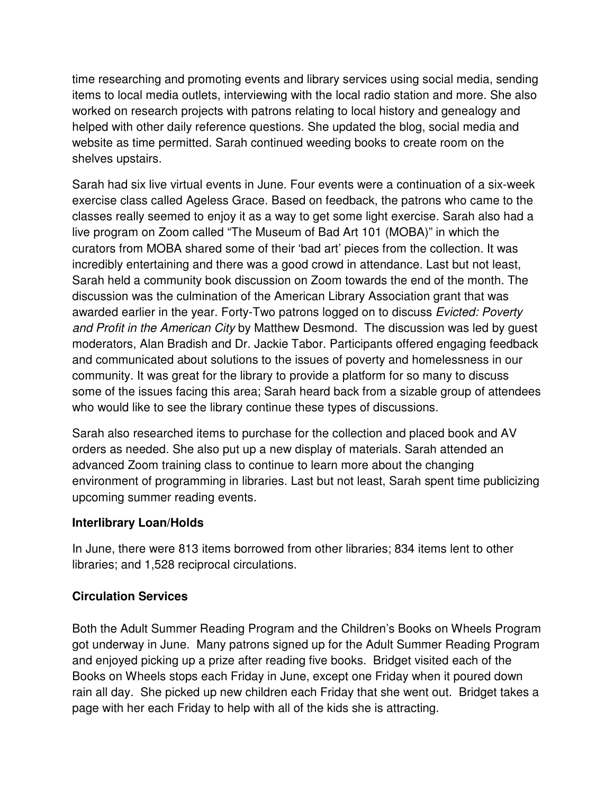time researching and promoting events and library services using social media, sending items to local media outlets, interviewing with the local radio station and more. She also worked on research projects with patrons relating to local history and genealogy and helped with other daily reference questions. She updated the blog, social media and website as time permitted. Sarah continued weeding books to create room on the shelves upstairs.

Sarah had six live virtual events in June. Four events were a continuation of a six-week exercise class called Ageless Grace. Based on feedback, the patrons who came to the classes really seemed to enjoy it as a way to get some light exercise. Sarah also had a live program on Zoom called "The Museum of Bad Art 101 (MOBA)" in which the curators from MOBA shared some of their 'bad art' pieces from the collection. It was incredibly entertaining and there was a good crowd in attendance. Last but not least, Sarah held a community book discussion on Zoom towards the end of the month. The discussion was the culmination of the American Library Association grant that was awarded earlier in the year. Forty-Two patrons logged on to discuss Evicted: Poverty and Profit in the American City by Matthew Desmond. The discussion was led by guest moderators, Alan Bradish and Dr. Jackie Tabor. Participants offered engaging feedback and communicated about solutions to the issues of poverty and homelessness in our community. It was great for the library to provide a platform for so many to discuss some of the issues facing this area; Sarah heard back from a sizable group of attendees who would like to see the library continue these types of discussions.

Sarah also researched items to purchase for the collection and placed book and AV orders as needed. She also put up a new display of materials. Sarah attended an advanced Zoom training class to continue to learn more about the changing environment of programming in libraries. Last but not least, Sarah spent time publicizing upcoming summer reading events.

### **Interlibrary Loan/Holds**

In June, there were 813 items borrowed from other libraries; 834 items lent to other libraries; and 1,528 reciprocal circulations.

### **Circulation Services**

Both the Adult Summer Reading Program and the Children's Books on Wheels Program got underway in June. Many patrons signed up for the Adult Summer Reading Program and enjoyed picking up a prize after reading five books. Bridget visited each of the Books on Wheels stops each Friday in June, except one Friday when it poured down rain all day. She picked up new children each Friday that she went out. Bridget takes a page with her each Friday to help with all of the kids she is attracting.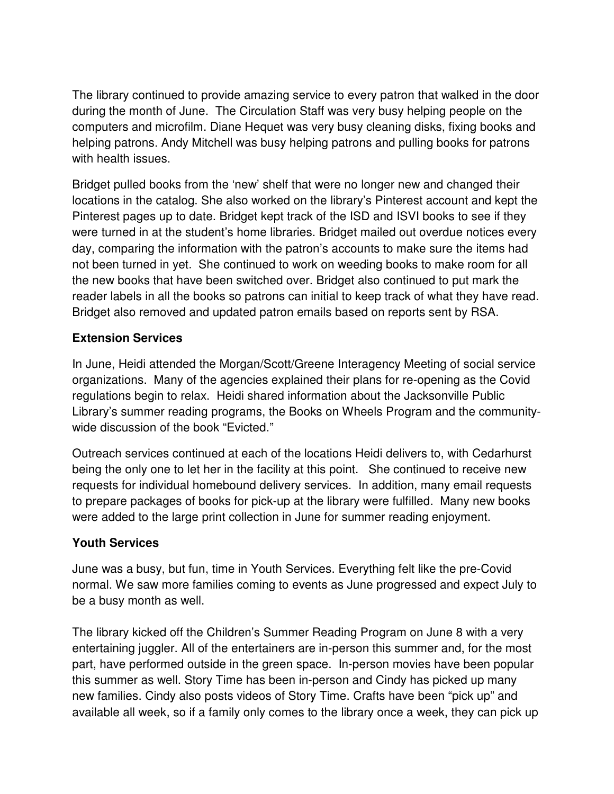The library continued to provide amazing service to every patron that walked in the door during the month of June. The Circulation Staff was very busy helping people on the computers and microfilm. Diane Hequet was very busy cleaning disks, fixing books and helping patrons. Andy Mitchell was busy helping patrons and pulling books for patrons with health issues.

Bridget pulled books from the 'new' shelf that were no longer new and changed their locations in the catalog. She also worked on the library's Pinterest account and kept the Pinterest pages up to date. Bridget kept track of the ISD and ISVI books to see if they were turned in at the student's home libraries. Bridget mailed out overdue notices every day, comparing the information with the patron's accounts to make sure the items had not been turned in yet. She continued to work on weeding books to make room for all the new books that have been switched over. Bridget also continued to put mark the reader labels in all the books so patrons can initial to keep track of what they have read. Bridget also removed and updated patron emails based on reports sent by RSA.

## **Extension Services**

In June, Heidi attended the Morgan/Scott/Greene Interagency Meeting of social service organizations. Many of the agencies explained their plans for re-opening as the Covid regulations begin to relax. Heidi shared information about the Jacksonville Public Library's summer reading programs, the Books on Wheels Program and the communitywide discussion of the book "Evicted."

Outreach services continued at each of the locations Heidi delivers to, with Cedarhurst being the only one to let her in the facility at this point. She continued to receive new requests for individual homebound delivery services. In addition, many email requests to prepare packages of books for pick-up at the library were fulfilled. Many new books were added to the large print collection in June for summer reading enjoyment.

# **Youth Services**

June was a busy, but fun, time in Youth Services. Everything felt like the pre-Covid normal. We saw more families coming to events as June progressed and expect July to be a busy month as well.

The library kicked off the Children's Summer Reading Program on June 8 with a very entertaining juggler. All of the entertainers are in-person this summer and, for the most part, have performed outside in the green space. In-person movies have been popular this summer as well. Story Time has been in-person and Cindy has picked up many new families. Cindy also posts videos of Story Time. Crafts have been "pick up" and available all week, so if a family only comes to the library once a week, they can pick up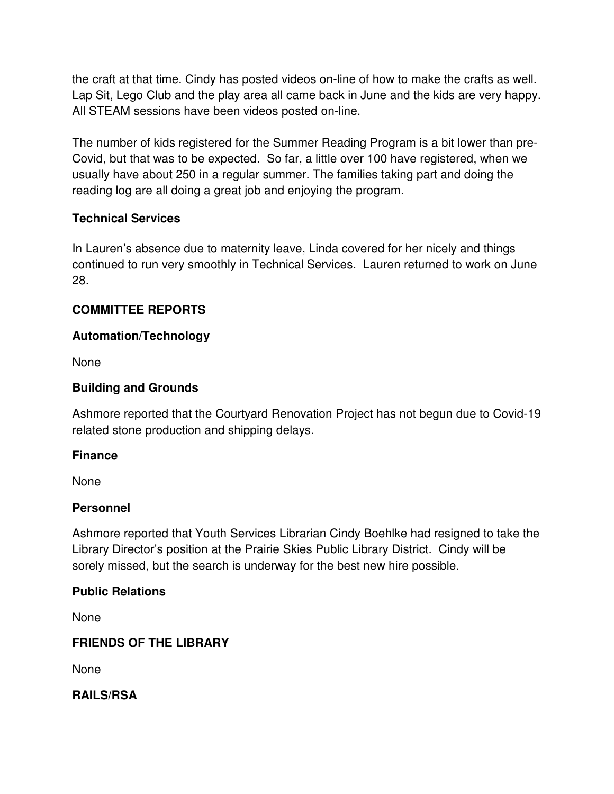the craft at that time. Cindy has posted videos on-line of how to make the crafts as well. Lap Sit, Lego Club and the play area all came back in June and the kids are very happy. All STEAM sessions have been videos posted on-line.

The number of kids registered for the Summer Reading Program is a bit lower than pre-Covid, but that was to be expected. So far, a little over 100 have registered, when we usually have about 250 in a regular summer. The families taking part and doing the reading log are all doing a great job and enjoying the program.

### **Technical Services**

In Lauren's absence due to maternity leave, Linda covered for her nicely and things continued to run very smoothly in Technical Services. Lauren returned to work on June 28.

## **COMMITTEE REPORTS**

### **Automation/Technology**

None

## **Building and Grounds**

Ashmore reported that the Courtyard Renovation Project has not begun due to Covid-19 related stone production and shipping delays.

### **Finance**

None

### **Personnel**

Ashmore reported that Youth Services Librarian Cindy Boehlke had resigned to take the Library Director's position at the Prairie Skies Public Library District. Cindy will be sorely missed, but the search is underway for the best new hire possible.

# **Public Relations**

None

# **FRIENDS OF THE LIBRARY**

None

**RAILS/RSA**